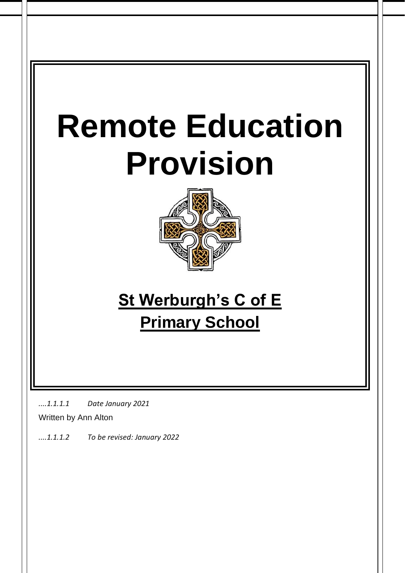# **Remote Education Provision**



# **St Werburgh's C of E Primary School**

*....1.1.1.1 Date January 2021*

Written by Ann Alton

*....1.1.1.2 To be revised: January 2022*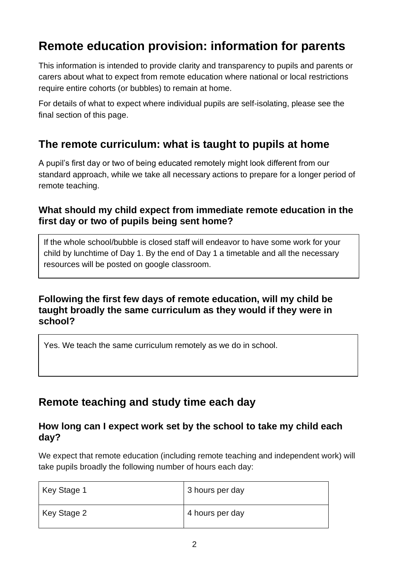# **Remote education provision: information for parents**

This information is intended to provide clarity and transparency to pupils and parents or carers about what to expect from remote education where national or local restrictions require entire cohorts (or bubbles) to remain at home.

For details of what to expect where individual pupils are self-isolating, please see the final section of this page.

# **The remote curriculum: what is taught to pupils at home**

A pupil's first day or two of being educated remotely might look different from our standard approach, while we take all necessary actions to prepare for a longer period of remote teaching.

#### **What should my child expect from immediate remote education in the first day or two of pupils being sent home?**

If the whole school/bubble is closed staff will endeavor to have some work for your child by lunchtime of Day 1. By the end of Day 1 a timetable and all the necessary resources will be posted on google classroom.

#### **Following the first few days of remote education, will my child be taught broadly the same curriculum as they would if they were in school?**

Yes. We teach the same curriculum remotely as we do in school.

# **Remote teaching and study time each day**

#### **How long can I expect work set by the school to take my child each day?**

We expect that remote education (including remote teaching and independent work) will take pupils broadly the following number of hours each day:

| Key Stage 1 | 3 hours per day |
|-------------|-----------------|
| Key Stage 2 | 4 hours per day |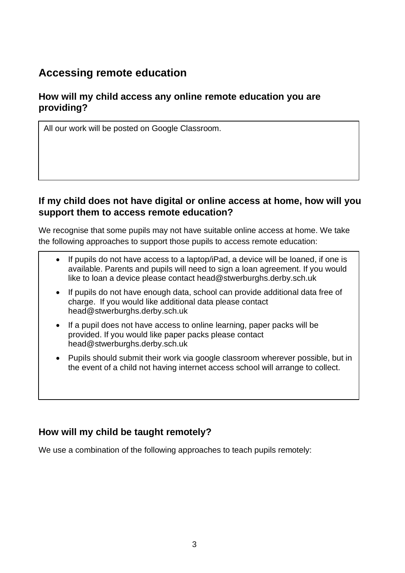# **Accessing remote education**

#### **How will my child access any online remote education you are providing?**

All our work will be posted on Google Classroom.

#### **If my child does not have digital or online access at home, how will you support them to access remote education?**

We recognise that some pupils may not have suitable online access at home. We take the following approaches to support those pupils to access remote education:

- If pupils do not have access to a laptop/iPad, a device will be loaned, if one is available. Parents and pupils will need to sign a loan agreement. If you would like to loan a device please contact head@stwerburghs.derby.sch.uk
- If pupils do not have enough data, school can provide additional data free of charge. If you would like additional data please contact head@stwerburghs.derby.sch.uk
- If a pupil does not have access to online learning, paper packs will be provided. If you would like paper packs please contact head@stwerburghs.derby.sch.uk
- Pupils should submit their work via google classroom wherever possible, but in the event of a child not having internet access school will arrange to collect.

#### **How will my child be taught remotely?**

We use a combination of the following approaches to teach pupils remotely: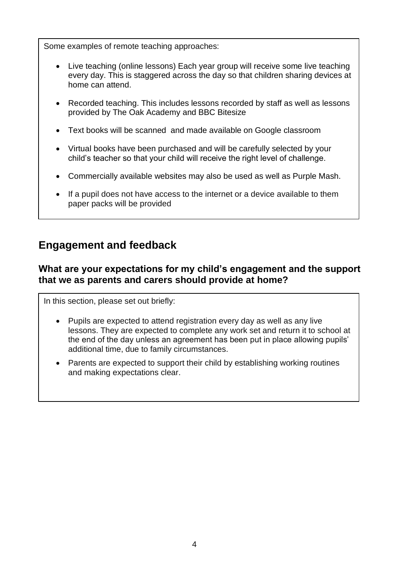Some examples of remote teaching approaches:

- Live teaching (online lessons) Each year group will receive some live teaching every day. This is staggered across the day so that children sharing devices at home can attend.
- Recorded teaching. This includes lessons recorded by staff as well as lessons provided by The Oak Academy and BBC Bitesize
- Text books will be scanned and made available on Google classroom
- Virtual books have been purchased and will be carefully selected by your child's teacher so that your child will receive the right level of challenge.
- Commercially available websites may also be used as well as Purple Mash.
- If a pupil does not have access to the internet or a device available to them paper packs will be provided

# **Engagement and feedback**

#### **What are your expectations for my child's engagement and the support that we as parents and carers should provide at home?**

In this section, please set out briefly:

- Pupils are expected to attend registration every day as well as any live lessons. They are expected to complete any work set and return it to school at the end of the day unless an agreement has been put in place allowing pupils' additional time, due to family circumstances.
- Parents are expected to support their child by establishing working routines and making expectations clear.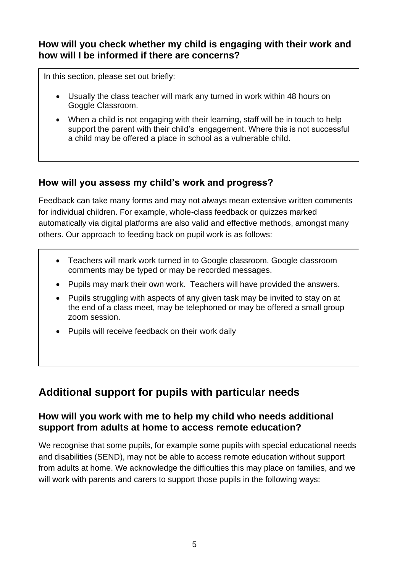#### **How will you check whether my child is engaging with their work and how will I be informed if there are concerns?**

In this section, please set out briefly:

- Usually the class teacher will mark any turned in work within 48 hours on Goggle Classroom.
- When a child is not engaging with their learning, staff will be in touch to help support the parent with their child's engagement. Where this is not successful a child may be offered a place in school as a vulnerable child.

#### **How will you assess my child's work and progress?**

Feedback can take many forms and may not always mean extensive written comments for individual children. For example, whole-class feedback or quizzes marked automatically via digital platforms are also valid and effective methods, amongst many others. Our approach to feeding back on pupil work is as follows:

- Teachers will mark work turned in to Google classroom. Google classroom comments may be typed or may be recorded messages.
- Pupils may mark their own work. Teachers will have provided the answers.
- Pupils struggling with aspects of any given task may be invited to stay on at the end of a class meet, may be telephoned or may be offered a small group zoom session.
- Pupils will receive feedback on their work daily

# **Additional support for pupils with particular needs**

#### **How will you work with me to help my child who needs additional support from adults at home to access remote education?**

We recognise that some pupils, for example some pupils with special educational needs and disabilities (SEND), may not be able to access remote education without support from adults at home. We acknowledge the difficulties this may place on families, and we will work with parents and carers to support those pupils in the following ways: